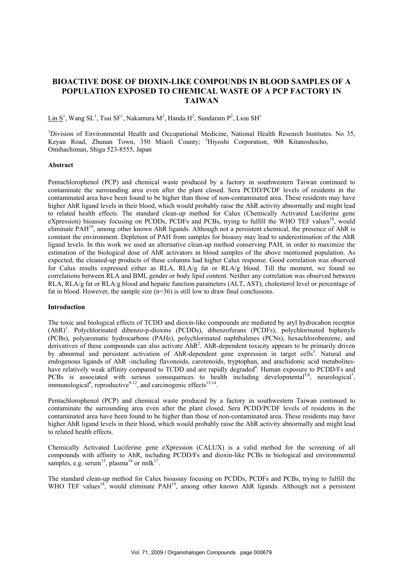# **BIOACTIVE DOSE OF DIOXIN-LIKE COMPOUNDS IN BLOOD SAMPLES OF A POPULATION EXPOSED TO CHEMICAL WASTE OF A PCP FACTORY IN TAIWAN**

 $\underline{\text{Lin S}}^1$ , Wang SL<sup>1</sup>, Tsai SF<sup>1</sup>, Nakamura M<sup>2</sup>, Handa H<sup>2</sup>, Sundaram P<sup>2</sup>, Liou SH<sup>1</sup>

<sup>1</sup>Division of Environmental Health and Occupational Medicine, National Health Research Institutes. No 35, Keyan Road, Zhunan Town, 350 Miaoli County; <sup>2</sup> Hiyoshi Corporation, 908 Kitanoshocho, Omihachiman, Shiga 523-8555, Japan

#### **Abstract**

Pentachlorophenol (PCP) and chemical waste produced by a factory in southwestern Taiwan continued to contaminate the surrounding area even after the plant closed. Sera PCDD/PCDF levels of residents in the contaminated area have been found to be higher than those of non-contaminated area. These residents may have higher AhR ligand levels in their blood, which would probably raise the AhR activity abnormally and might lead to related health effects. The standard clean-up method for Calux (Chemically Activated Luciferine gene eXpression) bioassay focusing on PCDDs, PCDFs and PCBs, trying to fulfill the WHO TEF values<sup>18</sup>, would eliminate PAH19, among other known AhR ligands. Although not a persistent chemical, the presence of AhR is constant the environment. Depletion of PAH from samples for bioassy may lead to underestimation of the AhR ligand levels. In this work we used an alternative clean-up method conserving PAH, in order to maximize the estimation of the biological dose of AhR activators in blood samples of the above mentioned population. As expected, the cleaned-up products of these columns had higher Calux response. Good correlation was observed for Calux results expressed either as RLA, RLA/g fat or RLA/g blood. Till the moment, we found no correlations between RLA and BMI, gender or body lipid content. Neither any correlation was observed between RLA, RLA/g fat or RLA/g blood and hepatic function parameters (ALT, AST), cholesterol level or percentage of fat in blood. However, the sample size  $(n=36)$  is still low to draw final conclusions.

#### **Introduction**

The toxic and biological effects of TCDD and dioxin-like compounds are mediated by aryl hydrocabon receptor (AhR)<sup>1</sup>. Polychlorinated dibenzo-p-dioxins (PCDDs), dibenzofurans (PCDFs), polychlorinated biphenyls (PCBs), polyaromatic hydrocarbons (PAHs), polychlorinated naphthalenes (PCNs), hexachlorobenzene, and derivatives of these compounds can also activate  $AhR<sup>2</sup>$ . AhR-dependent toxicity appears to be primarily driven by abnormal and persistent activation of AhR-dependent gene expression in target cells<sup>3</sup>. Natural and endogenous ligands of AhR -including flavonoids, carotenoids, tryptophan, and arachidonic acid metaboliteshave relatively weak affinity compared to TCDD and are rapidly degraded<sup>4</sup>. Human exposure to PCDD/Fs and PCBs is associated with serious consequences to health including developmental<sup>5,6</sup>, neurological<sup>7</sup>, immunological<sup>8</sup>, reproductive<sup>9-12</sup>, and carcinogenic effects<sup>13,14</sup>.

Pentachlorophenol (PCP) and chemical waste produced by a factory in southwestern Taiwan continued to contaminate the surrounding area even after the plant closed. Sera PCDD/PCDF levels of residents in the contaminated area have been found to be higher than those of non-contaminated area. These residents may have higher AhR ligand levels in their blood, which would probably raise the AhR activity abnormally and might lead to related health effects.

Chemically Activated Luciferine gene eXpression (CALUX) is a valid method for the screening of all compounds with affinity to AhR, including PCDD/Fs and dioxin-like PCBs in biological and environmental samples, e.g. serum<sup>15</sup>, plasma<sup>16</sup> or milk<sup>17</sup>.

The standard clean-up method for Calux bioassay focusing on PCDDs, PCDFs and PCBs, trying to fulfill the WHO TEF values<sup>18</sup>, would eliminate PAH<sup>19</sup>, among other known AhR ligands. Although not a persistent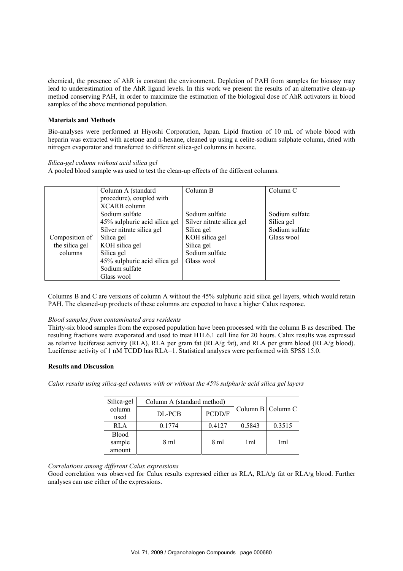chemical, the presence of AhR is constant the environment. Depletion of PAH from samples for bioassy may lead to underestimation of the AhR ligand levels. In this work we present the results of an alternative clean-up method conserving PAH, in order to maximize the estimation of the biological dose of AhR activators in blood samples of the above mentioned population.

### **Materials and Methods**

Bio-analyses were performed at Hiyoshi Corporation, Japan. Lipid fraction of 10 mL of whole blood with heparin was extracted with acetone and n-hexane, cleaned up using a celite-sodium sulphate column, dried with nitrogen evaporator and transferred to different silica-gel columns in hexane.

# *Silica-gel column without acid silica gel*

A pooled blood sample was used to test the clean-up effects of the different columns.

|                                             | Column A (standard<br>procedure), coupled with<br>XCARB column                                                                                                                              | Column B                                                                                                                  | Column C                                                     |
|---------------------------------------------|---------------------------------------------------------------------------------------------------------------------------------------------------------------------------------------------|---------------------------------------------------------------------------------------------------------------------------|--------------------------------------------------------------|
| Composition of<br>the silica gel<br>columns | Sodium sulfate<br>45% sulphuric acid silica gel<br>Silver nitrate silica gel<br>Silica gel<br>KOH silica gel<br>Silica gel<br>45% sulphuric acid silica gel<br>Sodium sulfate<br>Glass wool | Sodium sulfate<br>Silver nitrate silica gel<br>Silica gel<br>KOH silica gel<br>Silica gel<br>Sodium sulfate<br>Glass wool | Sodium sulfate<br>Silica gel<br>Sodium sulfate<br>Glass wool |

Columns B and C are versions of column A without the 45% sulphuric acid silica gel layers, which would retain PAH. The cleaned-up products of these columns are expected to have a higher Calux response.

# *Blood samples from contaminated area residents*

Thirty-six blood samples from the exposed population have been processed with the column B as described. The resulting fractions were evaporated and used to treat H1L6.1 cell line for 20 hours. Calux results was expressed as relative luciferase activity (RLA), RLA per gram fat (RLA/g fat), and RLA per gram blood (RLA/g blood). Luciferase activity of 1 nM TCDD has RLA=1. Statistical analyses were performed with SPSS 15.0.

# **Results and Discussion**

*Calux results using silica-gel columns with or without the 45% sulphuric acid silica gel layers* 

| Silica-gel                       | Column A (standard method) |        |                 |                          |
|----------------------------------|----------------------------|--------|-----------------|--------------------------|
| column<br>used                   | DL-PCB                     | PCDD/F |                 | Column B $\sim$ Column C |
| RLA                              | 0.1774                     | 0.4127 | 0.5843          | 0.3515                   |
| <b>Blood</b><br>sample<br>amount | 8 ml                       | 8 ml   | 1 <sub>ml</sub> | 1ml                      |

# *Correlations among different Calux expressions*

Good correlation was observed for Calux results expressed either as RLA, RLA/g fat or RLA/g blood. Further analyses can use either of the expressions.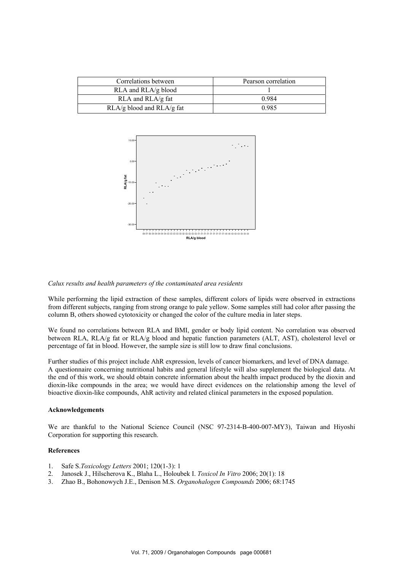| Correlations between          | Pearson correlation |  |
|-------------------------------|---------------------|--|
| RLA and RLA/g blood           |                     |  |
| RLA and RLA/g fat             | 0.984               |  |
| $RLA/g$ blood and $RLA/g$ fat | 0.985               |  |



#### *Calux results and health parameters of the contaminated area residents*

While performing the lipid extraction of these samples, different colors of lipids were observed in extractions from different subjects, ranging from strong orange to pale yellow. Some samples still had color after passing the column B, others showed cytotoxicity or changed the color of the culture media in later steps.

We found no correlations between RLA and BMI, gender or body lipid content. No correlation was observed between RLA, RLA/g fat or RLA/g blood and hepatic function parameters (ALT, AST), cholesterol level or percentage of fat in blood. However, the sample size is still low to draw final conclusions.

Further studies of this project include AhR expression, levels of cancer biomarkers, and level of DNA damage. A questionnaire concerning nutritional habits and general lifestyle will also supplement the biological data. At the end of this work, we should obtain concrete information about the health impact produced by the dioxin and dioxin-like compounds in the area; we would have direct evidences on the relationship among the level of bioactive dioxin-like compounds, AhR activity and related clinical parameters in the exposed population.

#### **Acknowledgements**

We are thankful to the National Science Council (NSC 97-2314-B-400-007-MY3), Taiwan and Hiyoshi Corporation for supporting this research.

#### **References**

- 1. Safe S.*Toxicology Letters* 2001; 120(1-3): 1
- 2. Janosek J., Hilscherova K., Blaha L., Holoubek I. *Toxicol In Vitro* 2006; 20(1): 18
- 3. Zhao B., Bohonowych J.E., Denison M.S. *Organohalogen Compounds* 2006; 68:1745